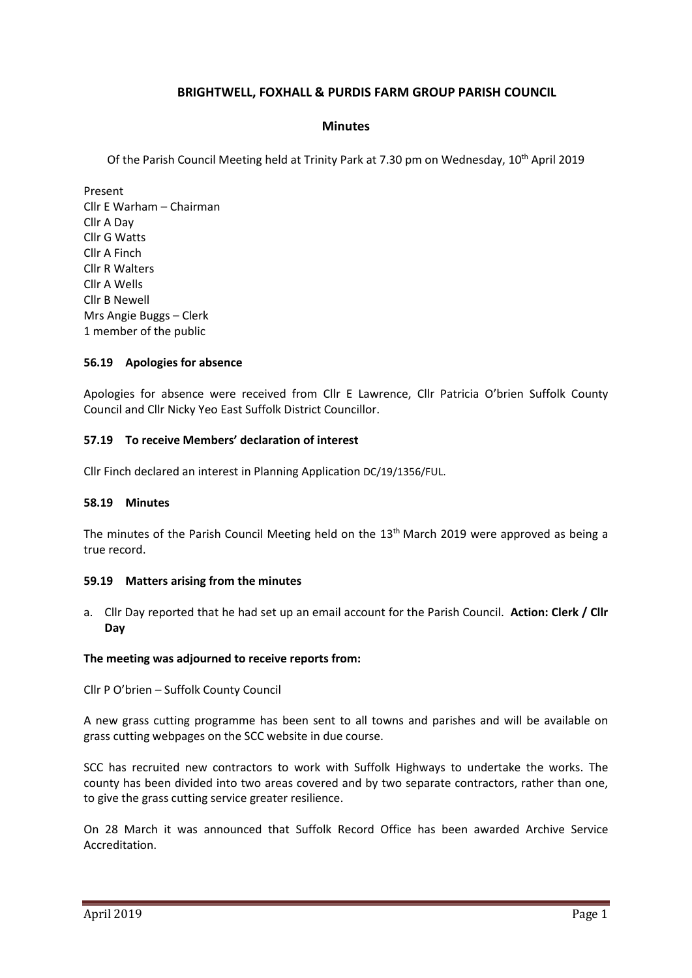# **BRIGHTWELL, FOXHALL & PURDIS FARM GROUP PARISH COUNCIL**

### **Minutes**

Of the Parish Council Meeting held at Trinity Park at 7.30 pm on Wednesday, 10th April 2019

Present Cllr E Warham – Chairman Cllr A Day Cllr G Watts Cllr A Finch Cllr R Walters Cllr A Wells Cllr B Newell Mrs Angie Buggs – Clerk 1 member of the public

### **56.19 Apologies for absence**

Apologies for absence were received from Cllr E Lawrence, Cllr Patricia O'brien Suffolk County Council and Cllr Nicky Yeo East Suffolk District Councillor.

### **57.19 To receive Members' declaration of interest**

Cllr Finch declared an interest in Planning Application DC/19/1356/FUL.

### **58.19 Minutes**

The minutes of the Parish Council Meeting held on the 13<sup>th</sup> March 2019 were approved as being a true record.

### **59.19 Matters arising from the minutes**

a. Cllr Day reported that he had set up an email account for the Parish Council. **Action: Clerk / Cllr Day**

### **The meeting was adjourned to receive reports from:**

Cllr P O'brien – Suffolk County Council

A new grass cutting programme has been sent to all towns and parishes and will be available on [grass cutting webpages](https://www.suffolk.gov.uk/roads-and-transport/roads-pavements-and-verges/trees-grass-and-weeds/grass-cutting/#tab2) on the SCC website in due course.

SCC has recruited new contractors to work with Suffolk Highways to undertake the works. The county has been divided into two areas covered and by two separate contractors, rather than one, to give the grass cutting service greater resilience.

On 28 March it was announced that Suffolk Record Office has been awarded Archive Service Accreditation.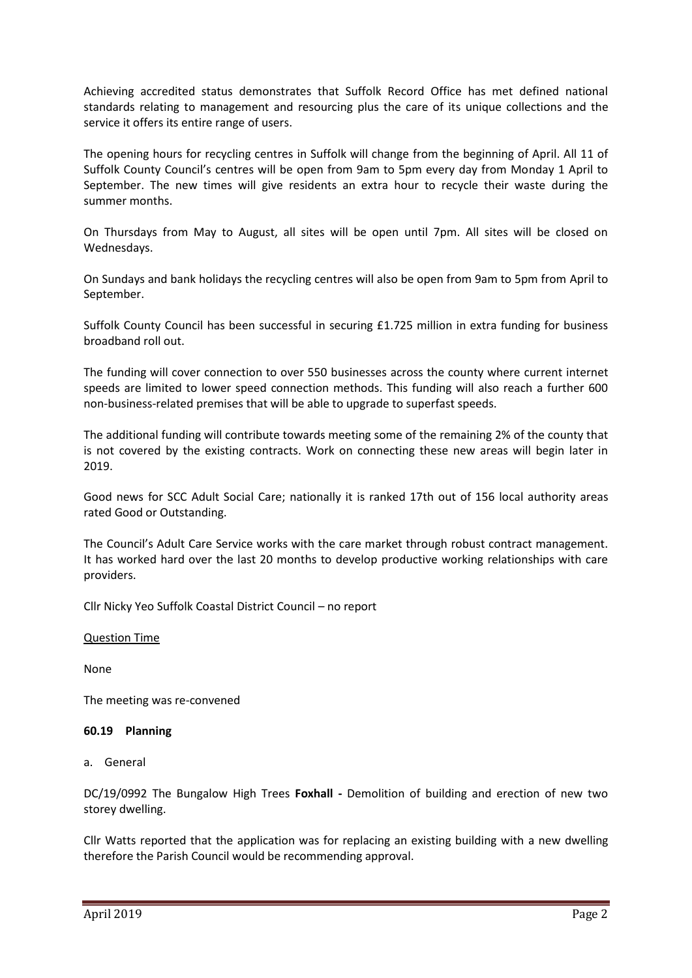Achieving accredited status demonstrates that Suffolk Record Office has met defined national standards relating to management and resourcing plus the care of its unique collections and the service it offers its entire range of users.

The opening hours for recycling centres in Suffolk will change from the beginning of April. All 11 of Suffolk County Council's centres will be open from 9am to 5pm every day from Monday 1 April to September. The new times will give residents an extra hour to recycle their waste during the summer months.

On Thursdays from May to August, all sites will be open until 7pm. All sites will be closed on Wednesdays.

On Sundays and bank holidays the recycling centres will also be open from 9am to 5pm from April to September.

Suffolk County Council has been successful in securing £1.725 million in extra funding for business broadband roll out.

The funding will cover connection to over 550 businesses across the county where current internet speeds are limited to lower speed connection methods. This funding will also reach a further 600 non-business-related premises that will be able to upgrade to superfast speeds.

The additional funding will contribute towards meeting some of the remaining 2% of the county that is not covered by the existing contracts. Work on connecting these new areas will begin later in 2019.

Good news for SCC Adult Social Care; nationally it is ranked 17th out of 156 local authority areas rated Good or Outstanding.

The Council's Adult Care Service works with the care market through robust contract management. It has worked hard over the last 20 months to develop productive working relationships with care providers.

Cllr Nicky Yeo Suffolk Coastal District Council – no report

### Question Time

None

The meeting was re-convened

### **60.19 Planning**

a. General

DC/19/0992 The Bungalow High Trees **Foxhall -** Demolition of building and erection of new two storey dwelling.

Cllr Watts reported that the application was for replacing an existing building with a new dwelling therefore the Parish Council would be recommending approval.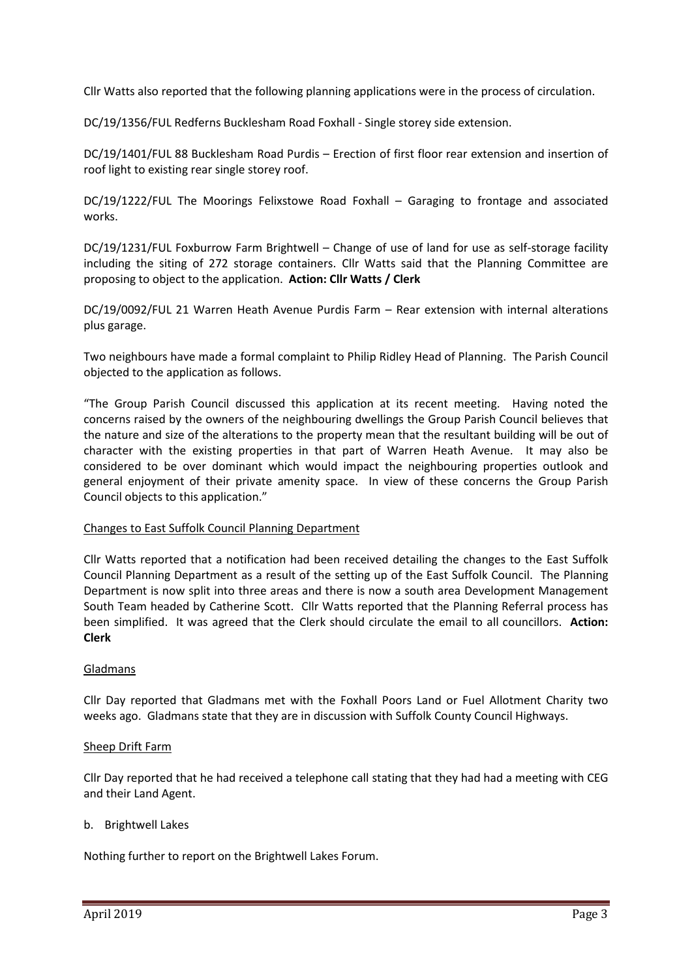Cllr Watts also reported that the following planning applications were in the process of circulation.

DC/19/1356/FUL Redferns Bucklesham Road Foxhall - Single storey side extension.

DC/19/1401/FUL 88 Bucklesham Road Purdis – Erection of first floor rear extension and insertion of roof light to existing rear single storey roof.

DC/19/1222/FUL The Moorings Felixstowe Road Foxhall – Garaging to frontage and associated works.

DC/19/1231/FUL Foxburrow Farm Brightwell – Change of use of land for use as self-storage facility including the siting of 272 storage containers. Cllr Watts said that the Planning Committee are proposing to object to the application. **Action: Cllr Watts / Clerk**

DC/19/0092/FUL 21 Warren Heath Avenue Purdis Farm – Rear extension with internal alterations plus garage.

Two neighbours have made a formal complaint to Philip Ridley Head of Planning. The Parish Council objected to the application as follows.

"The Group Parish Council discussed this application at its recent meeting. Having noted the concerns raised by the owners of the neighbouring dwellings the Group Parish Council believes that the nature and size of the alterations to the property mean that the resultant building will be out of character with the existing properties in that part of Warren Heath Avenue. It may also be considered to be over dominant which would impact the neighbouring properties outlook and general enjoyment of their private amenity space. In view of these concerns the Group Parish Council objects to this application."

### Changes to East Suffolk Council Planning Department

Cllr Watts reported that a notification had been received detailing the changes to the East Suffolk Council Planning Department as a result of the setting up of the East Suffolk Council. The Planning Department is now split into three areas and there is now a south area Development Management South Team headed by Catherine Scott. Cllr Watts reported that the Planning Referral process has been simplified. It was agreed that the Clerk should circulate the email to all councillors. **Action: Clerk**

### Gladmans

Cllr Day reported that Gladmans met with the Foxhall Poors Land or Fuel Allotment Charity two weeks ago. Gladmans state that they are in discussion with Suffolk County Council Highways.

### Sheep Drift Farm

Cllr Day reported that he had received a telephone call stating that they had had a meeting with CEG and their Land Agent.

### b. Brightwell Lakes

Nothing further to report on the Brightwell Lakes Forum.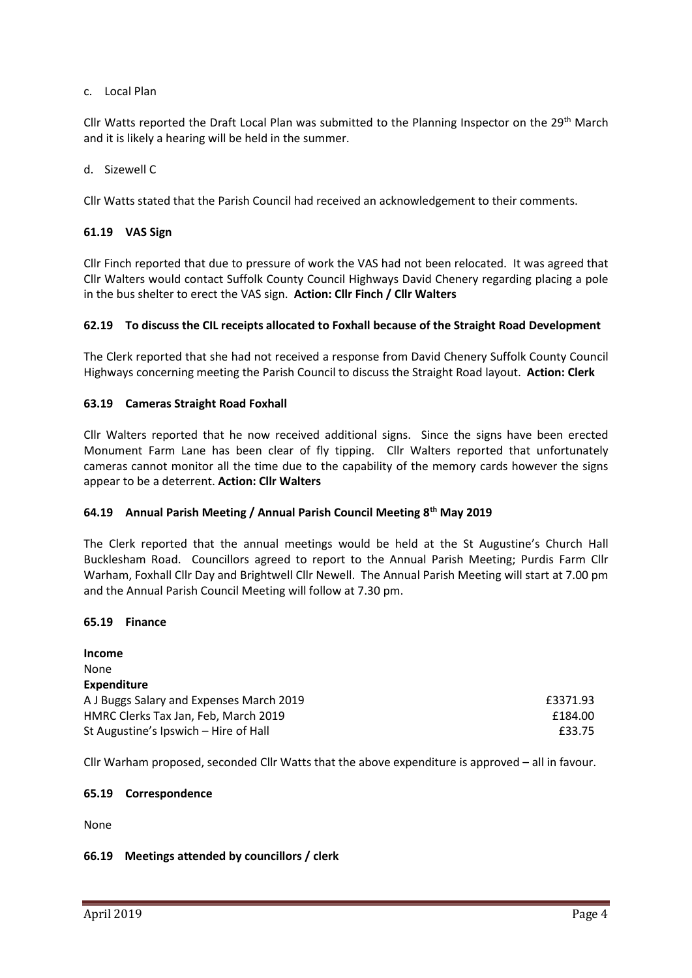### c. Local Plan

Cllr Watts reported the Draft Local Plan was submitted to the Planning Inspector on the 29<sup>th</sup> March and it is likely a hearing will be held in the summer.

d. Sizewell C

Cllr Watts stated that the Parish Council had received an acknowledgement to their comments.

### **61.19 VAS Sign**

Cllr Finch reported that due to pressure of work the VAS had not been relocated. It was agreed that Cllr Walters would contact Suffolk County Council Highways David Chenery regarding placing a pole in the bus shelter to erect the VAS sign. **Action: Cllr Finch / Cllr Walters**

### **62.19 To discuss the CIL receipts allocated to Foxhall because of the Straight Road Development**

The Clerk reported that she had not received a response from David Chenery Suffolk County Council Highways concerning meeting the Parish Council to discuss the Straight Road layout. **Action: Clerk**

### **63.19 Cameras Straight Road Foxhall**

Cllr Walters reported that he now received additional signs. Since the signs have been erected Monument Farm Lane has been clear of fly tipping. Cllr Walters reported that unfortunately cameras cannot monitor all the time due to the capability of the memory cards however the signs appear to be a deterrent. **Action: Cllr Walters**

### **64.19 Annual Parish Meeting / Annual Parish Council Meeting 8th May 2019**

The Clerk reported that the annual meetings would be held at the St Augustine's Church Hall Bucklesham Road. Councillors agreed to report to the Annual Parish Meeting; Purdis Farm Cllr Warham, Foxhall Cllr Day and Brightwell Cllr Newell. The Annual Parish Meeting will start at 7.00 pm and the Annual Parish Council Meeting will follow at 7.30 pm.

### **65.19 Finance**

**Income** None **Expenditure** A J Buggs Salary and Expenses March 2019 **EXPENSION EXPENSION** E3371.93 HMRC Clerks Tax Jan, Feb, March 2019 **Example 2019 Example 2019 E184.00** St Augustine's Ipswich – Hire of Hall **EXALL EXACT 2018** 2019 12:33.75

Cllr Warham proposed, seconded Cllr Watts that the above expenditure is approved – all in favour.

### **65.19 Correspondence**

None

### **66.19 Meetings attended by councillors / clerk**